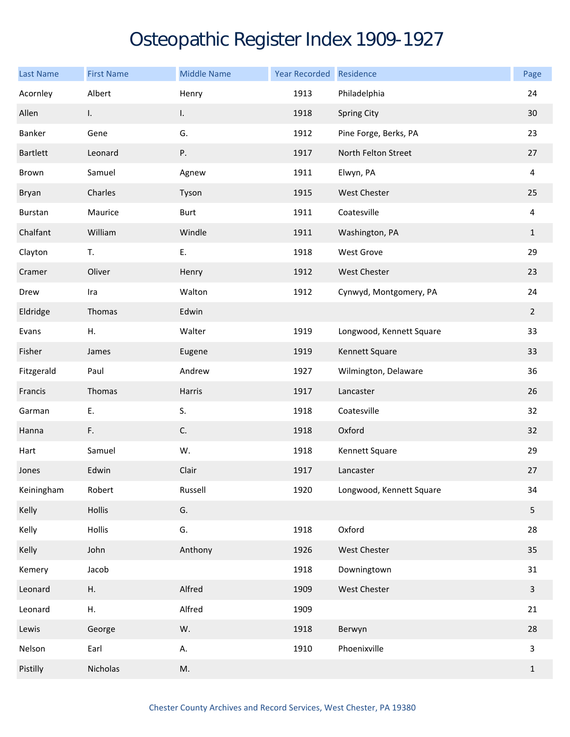## Osteopathic Register Index 1909-1927

| <b>Last Name</b> | <b>First Name</b> | <b>Middle Name</b> | Year Recorded Residence |                          | Page           |
|------------------|-------------------|--------------------|-------------------------|--------------------------|----------------|
| Acornley         | Albert            | Henry              | 1913                    | Philadelphia             | 24             |
| Allen            | I.                | I.                 | 1918                    | <b>Spring City</b>       | 30             |
| Banker           | Gene              | G.                 | 1912                    | Pine Forge, Berks, PA    | 23             |
| Bartlett         | Leonard           | Ρ.                 | 1917                    | North Felton Street      | 27             |
| Brown            | Samuel            | Agnew              | 1911                    | Elwyn, PA                | $\overline{4}$ |
| Bryan            | Charles           | Tyson              | 1915                    | West Chester             | 25             |
| Burstan          | Maurice           | <b>Burt</b>        | 1911                    | Coatesville              | 4              |
| Chalfant         | William           | Windle             | 1911                    | Washington, PA           | $\mathbf{1}$   |
| Clayton          | T.                | Ε.                 | 1918                    | <b>West Grove</b>        | 29             |
| Cramer           | Oliver            | Henry              | 1912                    | West Chester             | 23             |
| Drew             | Ira               | Walton             | 1912                    | Cynwyd, Montgomery, PA   | 24             |
| Eldridge         | Thomas            | Edwin              |                         |                          | $\overline{2}$ |
| Evans            | Η.                | Walter             | 1919                    | Longwood, Kennett Square | 33             |
| Fisher           | James             | Eugene             | 1919                    | Kennett Square           | 33             |
| Fitzgerald       | Paul              | Andrew             | 1927                    | Wilmington, Delaware     | 36             |
| Francis          | Thomas            | Harris             | 1917                    | Lancaster                | 26             |
| Garman           | E.                | S.                 | 1918                    | Coatesville              | 32             |
| Hanna            | F.                | C.                 | 1918                    | Oxford                   | 32             |
| Hart             | Samuel            | W.                 | 1918                    | Kennett Square           | 29             |
| Jones            | Edwin             | Clair              | 1917                    | Lancaster                | 27             |
| Keiningham       | Robert            | Russell            | 1920                    | Longwood, Kennett Square | 34             |
| Kelly            | Hollis            | G.                 |                         |                          | 5              |
| Kelly            | Hollis            | G.                 | 1918                    | Oxford                   | 28             |
| Kelly            | John              | Anthony            | 1926                    | West Chester             | 35             |
| Kemery           | Jacob             |                    | 1918                    | Downingtown              | 31             |
| Leonard          | Η.                | Alfred             | 1909                    | West Chester             | $\overline{3}$ |
| Leonard          | Η.                | Alfred             | 1909                    |                          | 21             |
| Lewis            | George            | W.                 | 1918                    | Berwyn                   | 28             |
| Nelson           | Earl              | А.                 | 1910                    | Phoenixville             | $\overline{3}$ |
| Pistilly         | Nicholas          | M.                 |                         |                          | $\mathbf{1}$   |